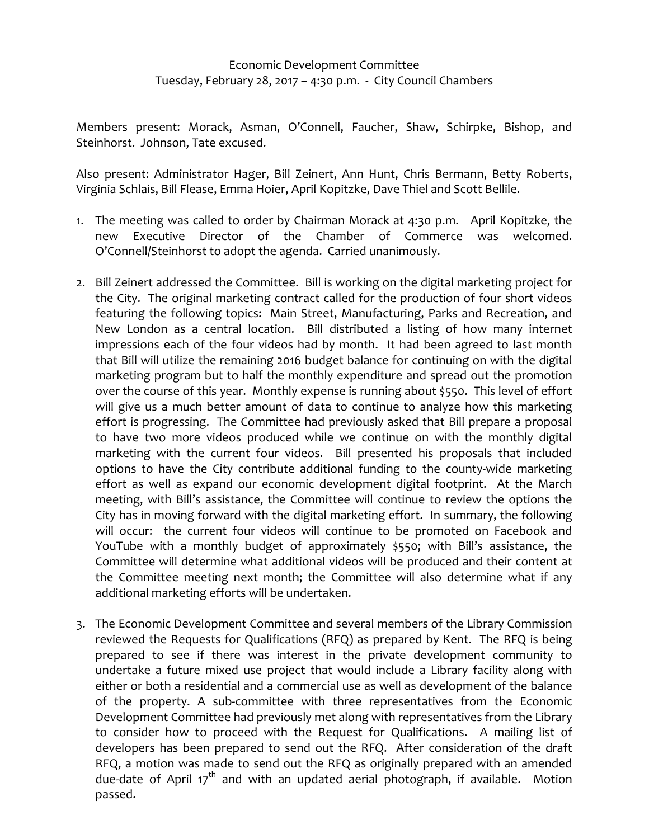## Economic Development Committee Tuesday, February 28, 2017 – 4:30 p.m. ‐ City Council Chambers

Members present: Morack, Asman, O'Connell, Faucher, Shaw, Schirpke, Bishop, and Steinhorst. Johnson, Tate excused.

Also present: Administrator Hager, Bill Zeinert, Ann Hunt, Chris Bermann, Betty Roberts, Virginia Schlais, Bill Flease, Emma Hoier, April Kopitzke, Dave Thiel and Scott Bellile.

- 1. The meeting was called to order by Chairman Morack at 4:30 p.m. April Kopitzke, the new Executive Director of the Chamber of Commerce was welcomed. O'Connell/Steinhorst to adopt the agenda. Carried unanimously.
- 2. Bill Zeinert addressed the Committee. Bill is working on the digital marketing project for the City. The original marketing contract called for the production of four short videos featuring the following topics: Main Street, Manufacturing, Parks and Recreation, and New London as a central location. Bill distributed a listing of how many internet impressions each of the four videos had by month. It had been agreed to last month that Bill will utilize the remaining 2016 budget balance for continuing on with the digital marketing program but to half the monthly expenditure and spread out the promotion over the course of this year. Monthly expense is running about \$550. This level of effort will give us a much better amount of data to continue to analyze how this marketing effort is progressing. The Committee had previously asked that Bill prepare a proposal to have two more videos produced while we continue on with the monthly digital marketing with the current four videos. Bill presented his proposals that included options to have the City contribute additional funding to the county‐wide marketing effort as well as expand our economic development digital footprint. At the March meeting, with Bill's assistance, the Committee will continue to review the options the City has in moving forward with the digital marketing effort. In summary, the following will occur: the current four videos will continue to be promoted on Facebook and YouTube with a monthly budget of approximately \$550; with Bill's assistance, the Committee will determine what additional videos will be produced and their content at the Committee meeting next month; the Committee will also determine what if any additional marketing efforts will be undertaken.
- 3. The Economic Development Committee and several members of the Library Commission reviewed the Requests for Qualifications (RFQ) as prepared by Kent. The RFQ is being prepared to see if there was interest in the private development community to undertake a future mixed use project that would include a Library facility along with either or both a residential and a commercial use as well as development of the balance of the property. A sub‐committee with three representatives from the Economic Development Committee had previously met along with representatives from the Library to consider how to proceed with the Request for Qualifications. A mailing list of developers has been prepared to send out the RFQ. After consideration of the draft RFQ, a motion was made to send out the RFQ as originally prepared with an amended due-date of April 17<sup>th</sup> and with an updated aerial photograph, if available. Motion passed.